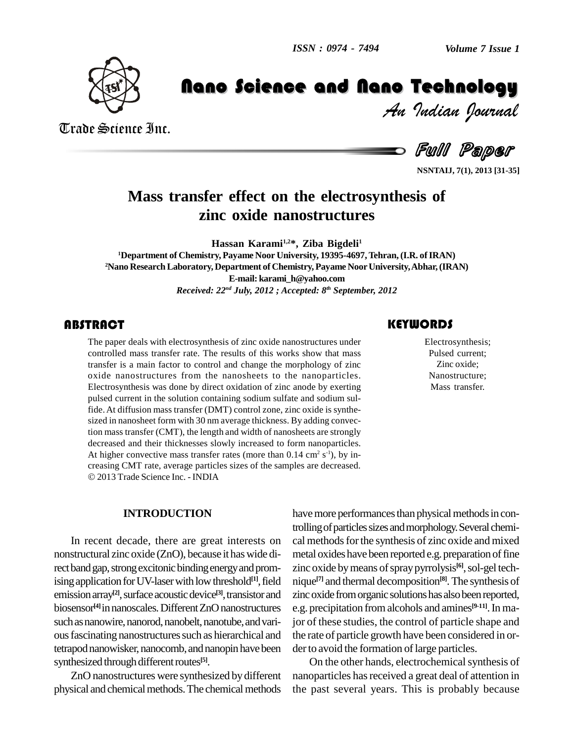

Trade Science Inc.

Trade Science Inc.

*Volume 7 Issue 1*<br>**Technology**<br>*Indian Pournal* 

Hand Concern Communication Constitution Constant Constant Constant Constant Constant Constant Constant Constant<br>Full Paper

**NSNTAIJ, 7(1), 2013 [31-35]**

## **Mass transfer effect on the electrosynthesis of zinc oxide nanostructures**

**Hassan Karami1,2\*, Ziba Bigdeli<sup>1</sup> <sup>1</sup>Department of Chemistry, Payame Noor University, 19395-4697,Tehran,(I.R. ofIRAN) <sup>2</sup>Nano ResearchLaboratory, Department of Chemistry, Payame NoorUniversity,Abhar,(IRAN) E-mail: [karami\\_h@yahoo.com](mailto:karami_h@yahoo.com)** *Received: 22 nd July, 2012 ; Accepted: 8 th September, 2012*

The paper deals with electrosynthesis of zinc oxide nanostructures under<br>
Electrosynthesis;<br>
controlled mass transfer rate. The results of this works show that mass<br>
transfer is a main factor to control and change the morp The paper deals with electrosynthesis of zinc oxide nanostructures under controlled mass transfer rate. The results of this works show that mass transfer is a main factor to control and change the morphology of zinc oxide nanostructures from the nanosheets to the nanoparticles. Electrosynthesis was done by direct oxidation of zinc anode by exerting pulsed current in the solution containing sodium sulfate and sodium sulfide.At diffusion mass transfer (DMT) control zone, zinc oxide is synthe sized in nanosheet form with 30 nm average thickness. By adding convection mass transfer (CMT), the length and width of nanosheets are strongly decreased and their thicknesses slowly increased to form nanoparticles. At higher convective mass transfer rates (more than  $0.14 \text{ cm}^2 \text{ s}^{-1}$ ), by increasing CMT rate, average particles sizes of the samples are decreased. 2013 Trade Science Inc. - INDIA

### **INTRODUCTION**

In recent decade, there are great interests on nonstructural zinc oxide (ZnO), because it haswide direct band gap, strong excitonic binding energy and promising application for UV-laser with low threshold $[1]$ , field emission array<sup>[2]</sup>, surface acoustic device<sup>[3]</sup>, transistor and zinc ox biosensor<sup>[4]</sup> in nanoscales. Different ZnO nanostructures e.g. p such as nanowire, nanorod, nanobelt, nanotube, and various fascinating nanostructures such as hierarchical and tetrapod nanowisker, nanocomb, and nanopin have been synthesized through different routes<sup>[5]</sup>.

ZnO nanostructures were synthesized by different physical and chemical methods. The chemical methods

**[1]**,field nique **[7]** and thermal decomposition **[8]**.The synthesis of have more performances than physical methods in controlling of particles sizes and morphology. Several chemical methods for the synthesis of zinc oxide and mixed metal oxides have been reported e.g. preparation of fine zinc oxide by means of spray pyrrolysis<sup>[6]</sup>, sol-gel techzinc oxide from organic solutions has also been reported, e.g. precipitation fromalcohols and amines **[9-11]**.In major of these studies, the control of particle shape and the rate of particle growth have been considered in or der to avoid the formation of large particles.

> On the other hands, electrochemical synthesis of nanoparticles has received a great deal of attention in the past several years. This is probably because

Electrosynthesis; Pulsed current; Zinc oxide; Nanostructure; Mass transfer.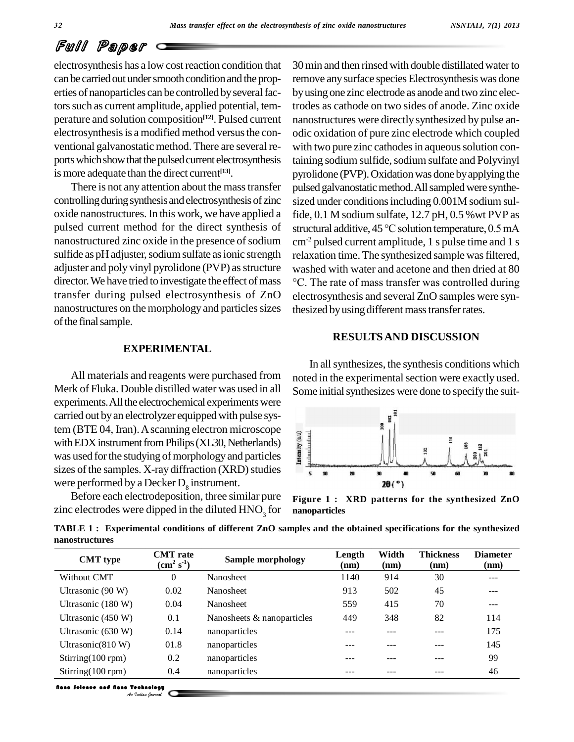# Full Paper

electrosynthesis has a low cost reaction condition that can be carried out under smooth condition and the properties of nanoparticles can be controlled by several factors such as current amplitude, applied potential, temperature and solution composition **[12]**. Pulsed current electrosynthesis is a modified method versus the conventional galvanostatic method. There are several reports which show that the pulsed current electrosynthesis is more adequate than the direct current **[13]**.

There is not any attention about the masstransfer controlling during synthesis and electrosynthesis of zinc oxide nanostructures.In this work, we have applied a pulsed current method for the direct synthesis of nanostructured zinc oxide in the presence of sodium sulfide as pH adjuster, sodium sulfate as ionic strength adjuster and poly vinyl pyrolidone (PVP) as structure director. We have tried to investigate the effect of mass  $\degree$ C. The rate of mass transfer was controlled during transfer during pulsed electrosynthesis of ZnO nanostructures on the morphology and particles sizes of the final sample.

## 30min and then rinsed with double distillated waterto remove any surface species Electrosynthesis was done byusing one zinc electrode as anode and two zinc electrodes as cathode on two sides of anode. Zinc oxide nanostructures were directlysynthesized by pulse an odic oxidation of pure zinc electrode which coupled with two pure zinc cathodes in aqueous solution containing sodium sulfide, sodium sulfate and Polyvinyl pyrolidone (PVP). Oxidation was done by applying the pulsed galvanostatic method. All sampled were synthesized under conditions including 0.001M sodium sulfide, 0.1 M sodium sulfate, 12.7 pH, 0.5 %wt PVP as structural additive,  $45^{\circ}$ C solution temperature, 0.5 mA cm-2 pulsed current amplitude, 1 s pulse time and 1 s relaxation time. The synthesized sample was filtered,<br>washed with water and acetone and then dried at 80<br>°C. The rate of mass transfer was controlled during washed with water and acetone and then dried at 80 electrosynthesis and several ZnO samples were synthesized by using different mass transfer rates.

### **EXPERIMENTAL**

All materials and reagents were purchased from Merk of Fluka. Double distilled water was used in all experiments. All the electrochemical experiments were carried out by an electrolyzer equipped with pulse system (BTE 04, Iran). A scanning electron microscope<br>with EDX instrument from Philips (XL30, Netherlands)<br>was used for the studying of morphology and particles with EDX instrument from Philips (XL30, Netherlands) was used for the studying of morphology and particles sizes of the samples. X-ray diffraction (XRD) studies were performed by a Decker  $D_{\rm s}$  instrument.

Before each electrodeposition, three similar pure zinc electrodes were dipped in the diluted  $HNO<sub>3</sub>$  for

## **RESULTSAND DISCUSSION**

In allsynthesizes, the synthesis conditions which noted in the experimental section were exactly used. Some initial synthesizes were done to specify the suit-



**Figure 1 : XRD patterns for the synthesized ZnO nanoparticles**

**TABLE 1 : Experimental conditions of different ZnO samples and the obtained specifications for the synthesized nanostructures**

| <b>CMT</b> type                         | <b>CMT</b> rate<br>$(cm2 s-1)$ | <b>Sample morphology</b>   | Length<br>(nm) | Width<br>(nm) | <b>Thickness</b><br>(nm) | <b>Diameter</b><br>(nm) |
|-----------------------------------------|--------------------------------|----------------------------|----------------|---------------|--------------------------|-------------------------|
| Without CMT                             | $\theta$                       | <b>Nanosheet</b>           | 1140           | 914           | 30                       | ---                     |
| Ultrasonic (90 W)                       | 0.02                           | <b>Nanosheet</b>           | 913            | 502           | 45                       | ---                     |
| Ultrasonic (180 W)                      | 0.04                           | <b>Nanosheet</b>           | 559            | 415           | 70                       | ---                     |
| Ultrasonic (450 W)                      | 0.1                            | Nanosheets & nanoparticles | 449            | 348           | 82                       | 114                     |
| Ultrasonic (630 W)                      | 0.14                           | nanoparticles              |                |               |                          | 175                     |
| Ultrasonic $(810 W)$                    | 01.8                           | nanoparticles              |                |               |                          | 145                     |
| $Stirring(100$ rpm)                     | 0.2                            | nanoparticles              |                |               |                          | 99                      |
| $Stirring(100$ rpm)                     | 0.4                            | nanoparticles              | ---            |               |                          | 46                      |
| <b>Neac Science and Neac Technology</b> | An Indian Journal              |                            |                |               |                          |                         |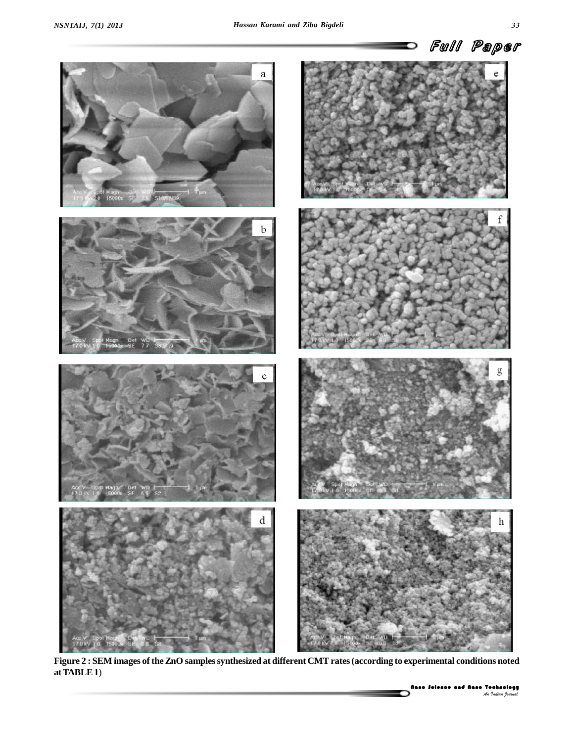

Nano Science and Nano Technology *An Indian Journal* **Figure 2 : SEM images of theZnO samplessynthesized at different CMTrates(according to experimental conditions noted atTABLE1**)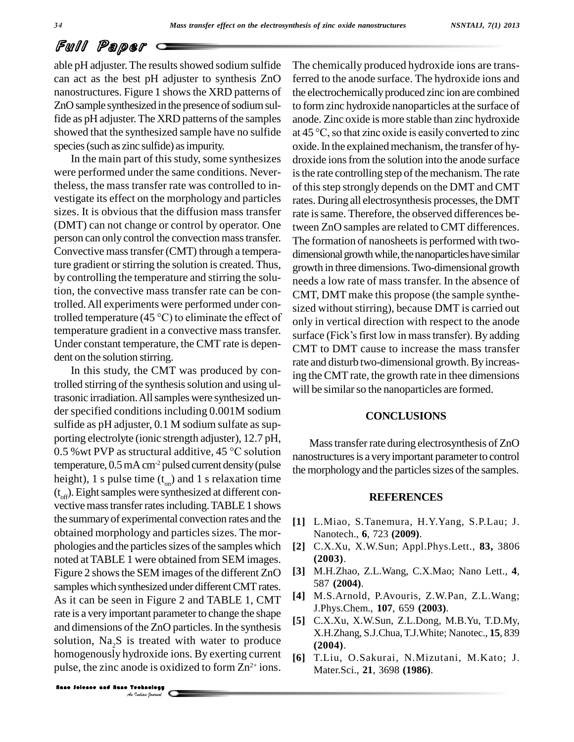# Full Paper

able pH adjuster. The results showed sodium sulfide can act as the best pH adjuster to synthesis ZnO nanostructures. Figure 1 shows the XRD patterns of ZnO sample synthesized in the presence of sodium sulfide as pH adjuster.The XRD patterns of the samples species (such as zinc sulfide) as impurity.

In the main part of this study, some synthesizes were performed under the same conditions. Nevertheless, the mass transfer rate was controlled to in vestigate its effect on the morphology and particles sizes. It is obvious that the diffusion mass transfer (DMT) can not change or control by operator. One person can only control the convection masstransfer. Convective masstransfer(CMT) through a temperature gradient or stirring the solution is created. Thus, by controlling the temperature and stirring the solution, the convective mass transfer rate can be controlled.All experiments were performed under controlled temperature (45  $^{\circ}$ C) to eliminate the effect of Under constant temperature, the CMT rate is depen dent on the solution stirring.

SOLUTION, Na<sub>2</sub>S 1s treated W1<br>nomogenously hydroxide ion:<br>pulse, the zinc anode is oxidize<br>**Rano Solence and Rano Technology** In this study, the CMT was produced by controlled stirring of the synthesis solution and using ultrasonic irradiation.Allsamples were synthesized un der specified conditions including 0.001M sodium sulfide as pH adjuster, 0.1 M sodium sulfate as sup porting electrolyte (ionic strength adjuster), 12.7 pH, 0.5 %wt PVP as structural additive, <sup>45</sup> °C solution temperature,  $0.5$  mA  $cm<sup>2</sup>$  pulsed current density (pulse height), 1 s pulse time  $(t_{on})$  and 1 s relaxation time  $(t<sub>off</sub>)$ . Eight samples were synthesized at different convective mass transfer rates including. TABLE 1 shows the summaryof experimental convection rates and the obtained morphology and particles sizes. The mor phologies and the particles sizes of the samples which noted atTABLE 1 were obtained from SEM images. Figure 2 shows the SEM images of the different ZnO samples which synthesized under different CMT rates. As it can be seen in Figure 2 and TABLE 1, CMT rate is a very important parameter to change the shape and dimensions of the ZnO particles. In the synthesis solution,  $Na<sub>2</sub>S$  is treated with water to produce homogenously hydroxide ions. By exerting current <sub>[6]</sub> pulse, the zinc anode is oxidized to form  $\mathbb{Z}^{n^{2+}}$  ions.

showed that the synthesized sample have no sulfide  $at 45^{\circ}$ C, so that zinc oxide is easily converted to zinc temperature gradient in a convective mass transfer. surface (Fick's first low in mass transfer). By adding The chemically produced hydroxide ions are transferred to the anode surface. The hydroxide ions and the electrochemically produced zinc ion are combined to form zinc hydroxide nanoparticles at the surface of<br>anode. Zinc oxide is more stable than zinc hydroxide<br>at 45 °C, so that zinc oxide is easily converted to zinc anode. Zinc oxide is more stable than zinc hydroxide oxide. In the explained mechanism, the transfer of hydroxide ions from the solution into the anode surface is the rate controlling step of the mechanism. The rate of thisstep strongly depends on the DMT and CMT rates. During all electrosynthesis processes, the DMT rate is same. Therefore, the observed differences between ZnO samples are related to CMT differences. The formation of nanosheets is performed with twodimensional growth while, the nanoparticles have similar growth in three dimensions.Two-dimensional growth needs a low rate of mass transfer. In the absence of CMT, DMT make this propose (the sample synthe sized without stirring), because DMT is carried out<br>only in vertical direction with respect to the anode<br>surface (Fick's first low in mass transfer). By adding only in vertical direction with respect to the anode CMT to DMT cause to increase the mass transfer rate and disturb two-dimensional growth.By increasing theCMT rate, the growth rate in thee dimensions will be similar so the nanoparticles are formed.

#### **CONCLUSIONS**

Masstransferrate during electrosynthesis of ZnO nanostructures is a very important parameter to control the morphology and the particles sizes of the samples.

#### **REFERENCES**

- **[1]** L.Miao, S.Tanemura, H.Y.Yang, S.P.Lau; J. Nanotech., **6**, 723 **(2009)**.
- **[2]** C.X.Xu, X.W.Sun; Appl.Phys.Lett., **83,** 3806 **(2003)**.
- **[3]** M.H.Zhao, Z.L.Wang, C.X.Mao; Nano Lett., **4**, 587 **(2004)**.
- **[4]** M.S.Arnold, P.Avouris, Z.W.Pan, Z.L.Wang; J.Phys.Chem., **107**, 659 **(2003)**.
- **[5]** C.X.Xu, X.W.Sun, Z.L.Dong, M.B.Yu, T.D.My, X.H.Zhang, S.J.Chua,T.J.White; Nanotec., **15**, 839 **(2004)**.
- **[6]** T.Liu, O.Sakurai, N.Mizutani, M.Kato; J. Mater.Sci., **21**, 3698 **(1986)**.